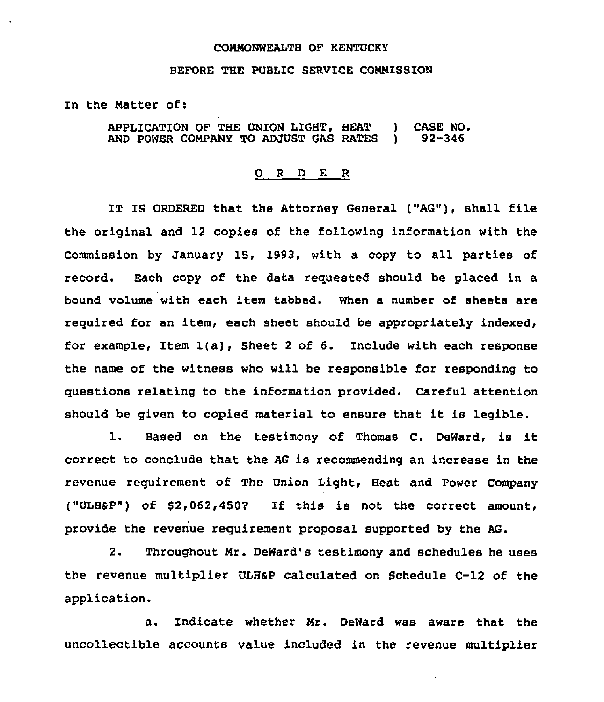## COMMONWEALTH OF KENTUCKY

## BEFORE THE PUBLIC SERVICE COMMISSION

In the Matter of:

APPLICATION OF THE UNION LIGHT, HEAT ) CASE NO.<br>AND POWER COMPANY TO ADJUST GAS RATES ) 92-346 AND POWER COMPANY TO ADJUST GAS RATES

## 0 <sup>R</sup> <sup>D</sup> E <sup>R</sup>

IT IS ORDERED that the Attorney General ("AG"), shall file the original and 12 copies of the following information with the Commission by January 15, 1993, with a copy to all parties of record. Each copy of the data requested should be placed in a bound volume with each item tabbed. When a number of sheets are required for an item, each sheet should be appropriately indexed, for example, Item 1(a), Sheet <sup>2</sup> of 6. Include with each response the name of the witness who will be responsible for responding to questions relating to the information provided. Careful attention should be given to copied material to ensure that it is legible.

1. Based on the testimony of Thomas C. DeWard, is it correct to conclude that the AG is recommending an increase in the revenue requirement of The Union Light, Heat and Power Company ("ULHSP") of \$ 2,062,4SO? If this is not the correct amount, provide the revenue requirement proposal supported by the AG.

2. Throughout Mr. DeWard's testimony and schedules he uses the revenue multiplier ULHaP calculated on Schedule C-12 of the application.

a. Indicate whether Mr. DeWard was aware that the uncollectible accounts value included in the revenue multiplier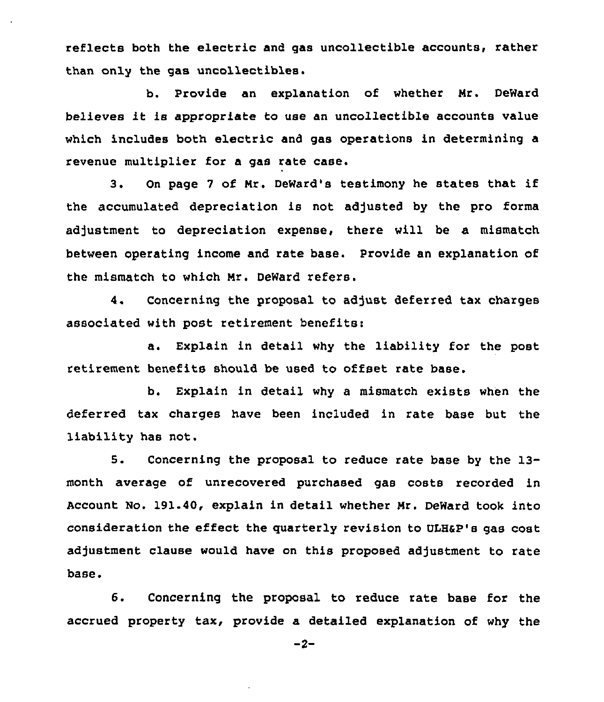reflects both the electric and gas uncollectible accounts, rather than only the gas uncollectibles.

b. Provide an explanation of whether Mr. DeWard believes it is appropriate to use an uncollectible accounts value which includes both electric and gas operations in determining a revenue multiplier for a gas rate case.

3. On page <sup>7</sup> of Mr. DeWard's testimony he states that if the accumulated depreciation is not adjusted by the pro forma adjustment to depreciation expense, there will be a mismatch between operating income and rate base. Provide an explanation of the mismatch to which Mr. DeWard refers.

4. Concerning the proposal to adjust deferred tax charges associated with post retirement benefits:

a. Explain in detail why the liability for the post retirement benefits should be used to offset rate base.

b. Explain in detail why a mismatch exists when the deferred tax charges have been included in rate base but the liability has not.

5. Concerning the proposal to reduce rate base by the 13 month average of unrecovered purchased gas costs recorded in Account No. 191.40, explain in detail whether Mr. DeWard took into consideration the effect the quarterly revision to VLHaP's gas cost adjustment clause would have on this proposed adjustment to rate base.

6. Concerning the proposal to reduce rate base for the accrued property tax, provide a detailed explanation of why the

 $-2-$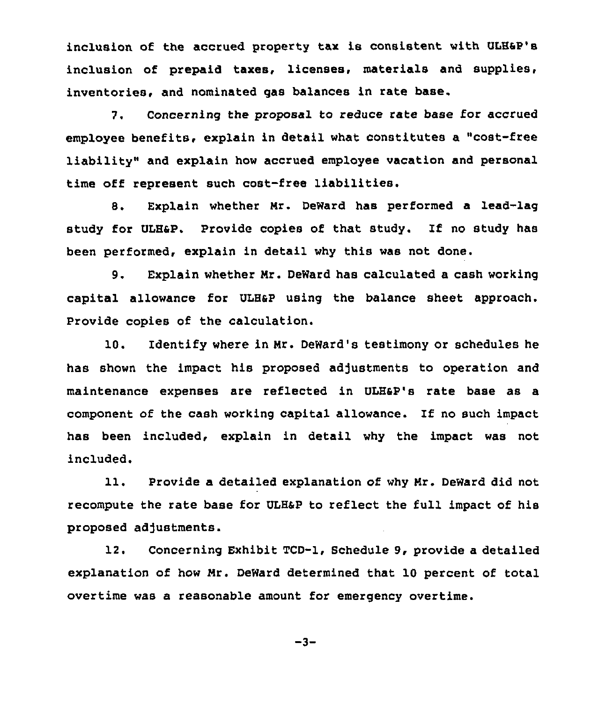inclusion of the accrued property tax is consistent with ULHSP's inclusion of prepaid taxes, licenses, materials and supplies, inventories, and nominated gas balances in rate base.

7. Concerning the proposal to reduce rate base for accrued employee benefits, explain in detail what constitutes a "cost-free liability" and explain how accrued employee vacation and personal time off represent such cost-free liabilities.

8. Explain whether Nr. DeWard has performed a lead-lag study for ULHSP. Provide copies of that study. If no study has been performed, explain in detail why this was not done.

9. Explain whether Nr. DeWard has calculated a cash working capital allowance for ULH&P using the balance sheet approach. Provide copies of the calculation.

10. Identify where in Hr. DeWard's testimony or schedules he has shown the impact his proposed adjustments to operation and maintenance expenses are reflected in ULHap's rate base as a component of the cash working capital allowance. If no such impact has been included, explain in detail why the impact was not included.

11. Provide a detailed explanation of why Mr. DeWard did not recompute the rate base for ULHap to reflect the full impact of his proposed adjustments.

12. Concerning Exhibit TCD-1, Schedule 9, provide a detailed explanation of how Nr. DeWard determined that 10 percent of total overtime was a reasonable amount for emergency overtime.

$$
-3-
$$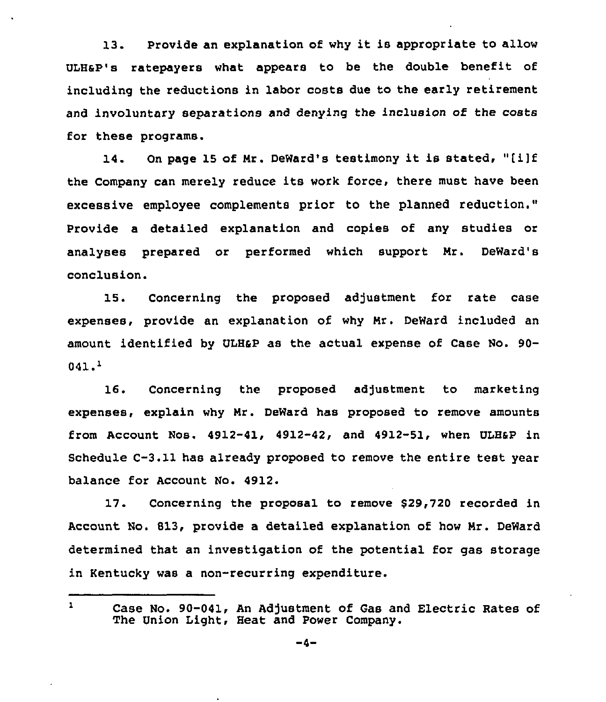13. Provide an explanation of why it is appropriate to allow ULHsP's ratepayers what appears to be the double benefit of including the reductions in labor costs due to the early retirement and involuntary separations and denying the inclusion of the costs for these programs.

14. On page <sup>15</sup> of Mr. DeWard's testimony it is stated, "[i]f the Company can merely reduce its work force, there must have been excessive employee complements prior to the planned reduction." Provide a detailed explanation and copies of any studies or analyses prepared or performed which support Mr. DeWard'8 conclusion.

15. Concerning the proposed adjustment for rate case expenses, provide an explanation of why Mr. DeWard included an amount identified by ULHap as the actual expense of Case No. 90- 041.4

16. Concerning the proposed adjustment to marketing expenses, explain why Mr. DeWard has proposed to remove amounts from Account Nos.  $4912-41$ ,  $4912-42$ , and  $4912-51$ , when ULH&P in Schedule C-3.11 has already proposed to remove the entire test year balance for Account No. 4912.

17. Concerning the proposal to remove \$29,720 recorded in Account No. 813, provide a detailed explanation of how Mr. DeWard determined that an investigation of the potential for gas storage in Kentucky was a non-recurring expenditure.

 $\mathbf{1}$ Case No. 90-041, An Adjustment of Gas and Electric Rates of The Union Light, Heat and Power Company.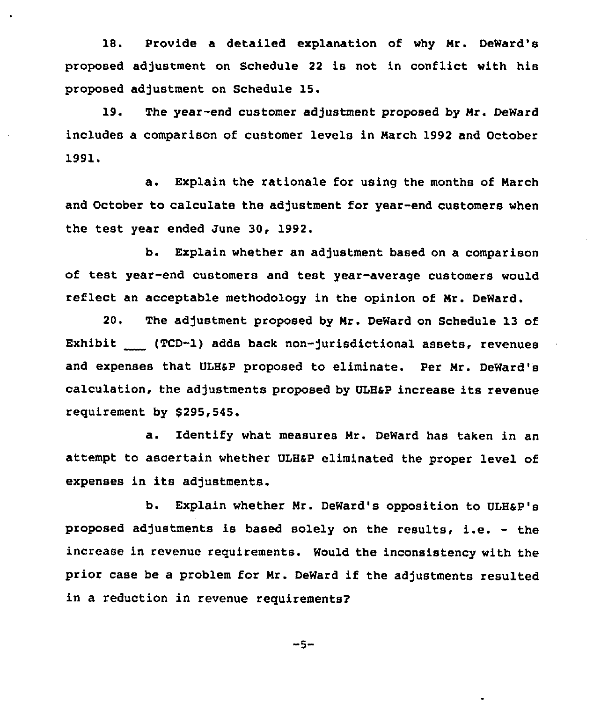18. Provide a detailed explanation of why Nr. DeWard's proposed adjustment on Schedule <sup>22</sup> is not in conflict with his proposed adjustment on Schedule 15.

19. The year-end customer adjustment proposed by Mr. DeWard includes a comparison of customer levels in March 1992 and October 1991.

a. Explain the rationale for using the months of Narch and October to calculate the adjustment for year-end customers when the test year ended June 30, 1992.

b. Explain whether an adjustment based on a comparison of test year-end customers and test year-average customers would reflect an acceptable methodology in the opinion of Nr. DeWard.

20. The adjustment proposed by Nr. DeWard on Schedule 13 of Exhibit (TCD-I) adds back non-jurisdictional assets, revenues and expenses that ULHsP proposed to eliminate. Per Mr. DeWard's calculation, the adjustments proposed by VLHaP increase its revenue requirement by \$295,545.

a. Identify what measures Mr. DeWard has taken in an attempt to ascertain whether VLHap eliminated the proper level of expenses in its adjustments.

b. Explain whether Mr. DeWard's opposition to ULH&P's proposed adjustments is based solely on the results, i.e. — the increase in revenue requirements. Would the inconsistency with the prior case be <sup>a</sup> problem for Nr. DeWard if the adjustments resulted in a reduction in revenue requirements?

-5-